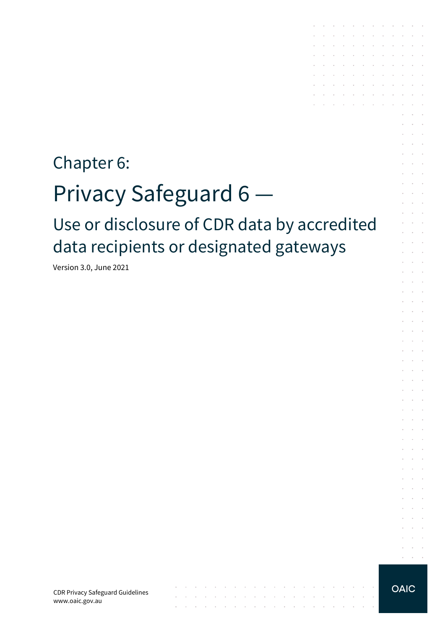# Chapter 6: Privacy Safeguard 6 Use or disclosure of CDR data by accredited data recipients or designated gateways

 $\mathcal{A}$  is a set of the set of the set of the set of the set of the set of  $\mathcal{A}$ 

and a series of the contract of the contract of the contract of the contract of

Version 3.0, June 2021

CDR Privacy Safeguard Guidelines www.oaic.gov.au

**OAIC** 

 $\alpha$  ,  $\beta$  ,  $\beta$  ,  $\beta$ 

design and a state of the state of the state the contract of the contract of the  $\mathcal{L}^{\mathcal{A}}$  . The set of the set of the set of the  $\mathcal{A}$  $\mathcal{L}^{\text{max}}$ 

the company of the company of the contract of the contract of

 $\sim$ 

and the control of the con-

and a straightful contract and and a strain and a strain and

**Contractor** 

and the control

 $\sim$ 

 $\sim$ 

 $\sim$   $\sim$ 

 $\mathcal{L}^{\text{max}}$  , and  $\mathcal{L}^{\text{max}}$  $\sim$ 

> $\sim$  $\mathcal{L}$

> $\sim$   $\sim$

 $\sim$   $\sim$  $\sim$ 

 $\sim$ ÷  $\sim$  $\mathbb{R}^2$ 

 $\sim$  $\sim$ 

 $\mathcal{L}$  $\sim$  $\sim$ 

 $\ddot{\phantom{a}}$  $\sim$  $\overline{\phantom{a}}$  $\sim$   $\sim$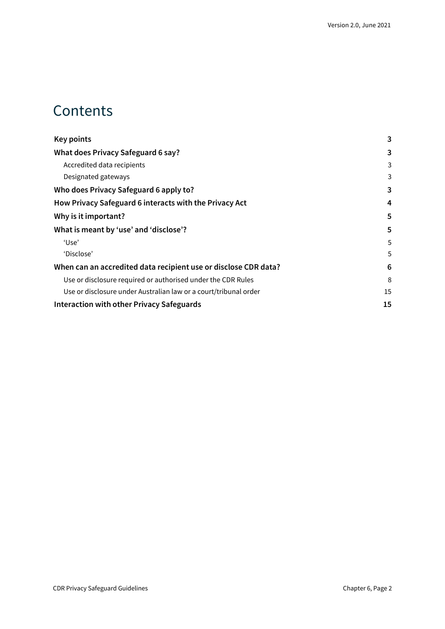### **Contents**

| <b>Key points</b>                                                | 3  |
|------------------------------------------------------------------|----|
| What does Privacy Safeguard 6 say?                               | 3  |
| Accredited data recipients                                       | 3  |
| Designated gateways                                              | 3  |
| Who does Privacy Safeguard 6 apply to?                           | 3  |
| How Privacy Safeguard 6 interacts with the Privacy Act           | 4  |
| Why is it important?                                             | 5  |
| What is meant by 'use' and 'disclose'?                           | 5  |
| 'Use'                                                            | 5  |
| 'Disclose'                                                       | 5  |
| When can an accredited data recipient use or disclose CDR data?  | 6  |
| Use or disclosure required or authorised under the CDR Rules     | 8  |
| Use or disclosure under Australian law or a court/tribunal order | 15 |
| <b>Interaction with other Privacy Safeguards</b>                 |    |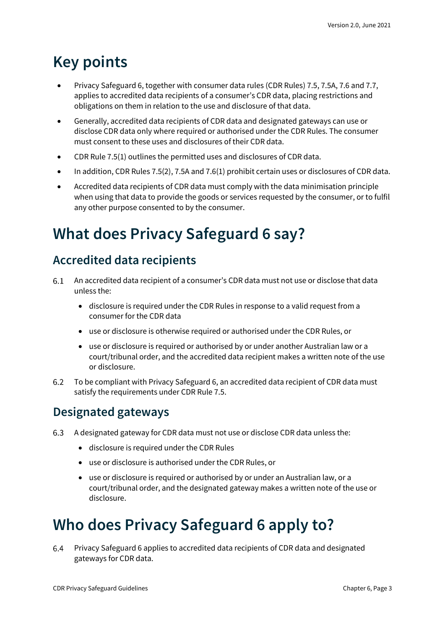## <span id="page-2-0"></span>**Key points**

- Privacy Safeguard 6, together with consumer data rules (CDR Rules) 7.5, 7.5A, 7.6 and 7.7, applies to accredited data recipients of a consumer's CDR data, placing restrictions and obligations on them in relation to the use and disclosure of that data.
- Generally, accredited data recipients of CDR data and designated gateways can use or disclose CDR data only where required or authorised under the CDR Rules. The consumer must consent to these uses and disclosures of their CDR data.
- CDR Rule 7.5(1) outlines the permitted uses and disclosures of CDR data.
- In addition, CDR Rules 7.5(2), 7.5A and 7.6(1) prohibit certain uses or disclosures of CDR data.
- Accredited data recipients of CDR data must comply with the data minimisation principle when using that data to provide the goods or services requested by the consumer, or to fulfil any other purpose consented to by the consumer.

## <span id="page-2-1"></span>**What does Privacy Safeguard 6 say?**

### <span id="page-2-2"></span>**Accredited data recipients**

- 6.1 An accredited data recipient of a consumer's CDR data must not use or disclose that data unless the:
	- disclosure is required under the CDR Rules in response to a valid request from a consumer for the CDR data
	- use or disclosure is otherwise required or authorised under the CDR Rules, or
	- use or disclosure is required or authorised by or under another Australian law or a court/tribunal order, and the accredited data recipient makes a written note of the use or disclosure.
- $6.2$ To be compliant with Privacy Safeguard 6, an accredited data recipient of CDR data must satisfy the requirements under CDR Rule 7.5.

### <span id="page-2-3"></span>**Designated gateways**

- A designated gateway for CDR data must not use or disclose CDR data unless the: 6.3
	- disclosure is required under the CDR Rules
	- use or disclosure is authorised under the CDR Rules, or
	- use or disclosure is required or authorised by or under an Australian law, or a court/tribunal order, and the designated gateway makes a written note of the use or disclosure.

## <span id="page-2-4"></span>**Who does Privacy Safeguard 6 apply to?**

Privacy Safeguard 6 applies to accredited data recipients of CDR data and designated 6.4 gateways for CDR data.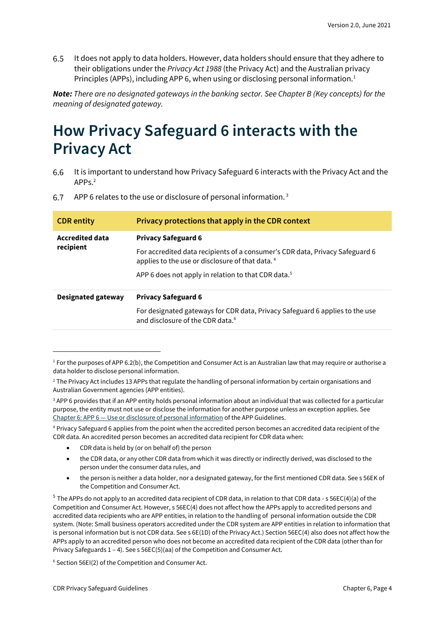6.5 It does not apply to data holders. However, data holders should ensure that they adhere to their obligations under the *Privacy Act 1988* (the Privacy Act) and the Australian privacy Principles (APPs), including APP 6, when using or disclosing personal information.<sup>1</sup>

*Note: There are no designated gateways in the banking sector. See Chapter B (Key concepts) for the meaning of designated gateway.*

### <span id="page-3-0"></span>**How Privacy Safeguard 6 interacts with the Privacy Act**

It is important to understand how Privacy Safeguard 6 interacts with the Privacy Act and the 6.6 APPs.<sup>2</sup>

| <b>CDR</b> entity                   | Privacy protections that apply in the CDR context                                                                                           |
|-------------------------------------|---------------------------------------------------------------------------------------------------------------------------------------------|
| <b>Accredited data</b><br>recipient | <b>Privacy Safeguard 6</b>                                                                                                                  |
|                                     | For accredited data recipients of a consumer's CDR data, Privacy Safeguard 6<br>applies to the use or disclosure of that data. <sup>4</sup> |
|                                     | APP 6 does not apply in relation to that CDR data. <sup>5</sup>                                                                             |
| <b>Designated gateway</b>           | <b>Privacy Safeguard 6</b>                                                                                                                  |
|                                     | For designated gateways for CDR data, Privacy Safeguard 6 applies to the use<br>and disclosure of the CDR data. <sup>6</sup>                |

6.7 APP 6 relates to the use or disclosure of personal information.<sup>3</sup>

<sup>3</sup> APP 6 provides that if an APP entity holds personal information about an individual that was collected for a particular purpose, the entity must not use or disclose the information for another purpose unless an exception applies. See Chapter 6: APP 6 — [Use or disclosure of personal information](https://www.oaic.gov.au/privacy/australian-privacy-principles-guidelines/chapter-6-app-6-use-or-disclosure-of-personal-information/) of the APP Guidelines.

<sup>4</sup> Privacy Safeguard 6 applies from the point when the accredited person becomes an accredited data recipient of the CDR data. An accredited person becomes an accredited data recipient for CDR data when:

- CDR data is held by (or on behalf of) the person
- the CDR data, or any other CDR data from which it was directly or indirectly derived, was disclosed to the person under the consumer data rules, and
- the person is neither a data holder, nor a designated gateway, for the first mentioned CDR data. See s 56EK of the Competition and Consumer Act.

<sup>5</sup> The APPs do not apply to an accredited data recipient of CDR data, in relation to that CDR data - s 56EC(4)(a) of the Competition and Consumer Act. However, s 56EC(4) does not affect how the APPs apply to accredited persons and accredited data recipients who are APP entities, in relation to the handling of personal information outside the CDR system. (Note: Small business operators accredited under the CDR system are APP entities in relation to information that is personal information but is not CDR data. See s 6E(1D) of the Privacy Act.) Section 56EC(4) also does not affect how the APPs apply to an accredited person who does not become an accredited data recipient of the CDR data (other than for Privacy Safeguards 1 – 4). See s 56EC(5)(aa) of the Competition and Consumer Act.

<sup>6</sup> Section 56EI(2) of the Competition and Consumer Act.

 $1$  For the purposes of APP 6.2(b), the Competition and Consumer Act is an Australian law that may require or authorise a data holder to disclose personal information.

<sup>&</sup>lt;sup>2</sup> The Privacy Act includes 13 APPs that regulate the handling of personal information by certain organisations and Australian Government agencies (APP entities).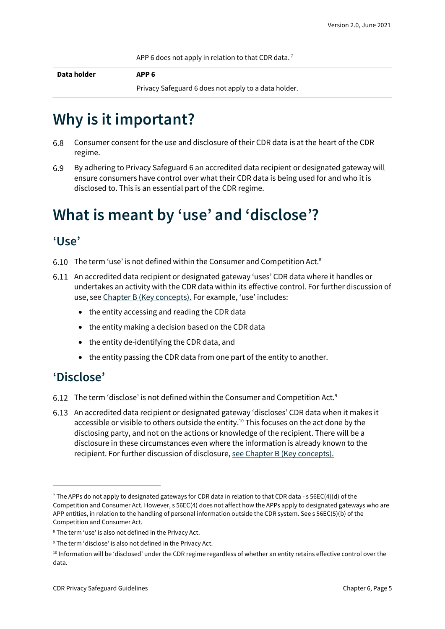APP 6 does not apply in relation to that CDR data.<sup>7</sup>

**Data holder APP 6**

Privacy Safeguard 6 does not apply to a data holder.

## <span id="page-4-0"></span>**Why is it important?**

- 6.8 Consumer consent for the use and disclosure of their CDR data is at the heart of the CDR regime.
- 6.9 By adhering to Privacy Safeguard 6 an accredited data recipient or designated gateway will ensure consumers have control over what their CDR data is being used for and who it is disclosed to. This is an essential part of the CDR regime.

## <span id="page-4-1"></span>**What is meant by 'use' and 'disclose'?**

#### <span id="page-4-2"></span>**'Use'**

- $6.10$  The term 'use' is not defined within the Consumer and Competition Act.<sup>8</sup>
- An accredited data recipient or designated gateway 'uses' CDR data where it handles or undertakes an activity with the CDR data within its effective control. For further discussion of use, see [Chapter B \(Key concepts\).](https://www.oaic.gov.au/consumer-data-right/cdr-privacy-safeguard-guidelines/chapter-b-key-concepts) For example, 'use' includes:
	- the entity accessing and reading the CDR data
	- the entity making a decision based on the CDR data
	- the entity de-identifying the CDR data, and
	- the entity passing the CDR data from one part of the entity to another.

#### <span id="page-4-3"></span>**'Disclose'**

- 6.12 The term 'disclose' is not defined within the Consumer and Competition Act.<sup>9</sup>
- An accredited data recipient or designated gateway 'discloses' CDR data when it makes it accessible or visible to others outside the entity.<sup>10</sup> This focuses on the act done by the disclosing party, and not on the actions or knowledge of the recipient. There will be a disclosure in these circumstances even where the information is already known to the recipient. For further discussion of disclosure[, see Chapter B \(Key concepts\).](https://www.oaic.gov.au/consumer-data-right/cdr-privacy-safeguard-guidelines/chapter-b-key-concepts)

<sup>&</sup>lt;sup>7</sup> The APPs do not apply to designated gateways for CDR data in relation to that CDR data - s 56EC(4)(d) of the Competition and Consumer Act. However, s 56EC(4) does not affect how the APPs apply to designated gateways who are APP entities, in relation to the handling of personal information outside the CDR system. See s 56EC(5)(b) of the Competition and Consumer Act.

<sup>8</sup> The term 'use' is also not defined in the Privacy Act.

<sup>&</sup>lt;sup>9</sup> The term 'disclose' is also not defined in the Privacy Act.

<sup>10</sup> Information will be 'disclosed' under the CDR regime regardless of whether an entity retains effective control over the data.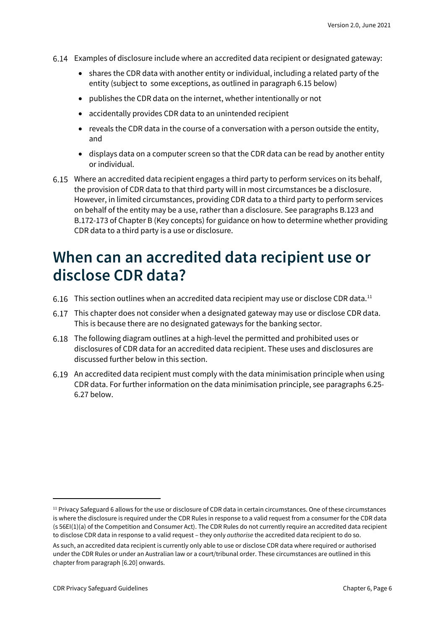- Examples of disclosure include where an accredited data recipient or designated gateway:
	- shares the CDR data with another entity or individual, including a related party of the entity (subject to some exceptions, as outlined in paragraph 6.15 below)
	- publishes the CDR data on the internet, whether intentionally or not
	- accidentally provides CDR data to an unintended recipient
	- reveals the CDR data in the course of a conversation with a person outside the entity, and
	- displays data on a computer screen so that the CDR data can be read by another entity or individual.
- Where an accredited data recipient engages a third party to perform services on its behalf, the provision of CDR data to that third party will in most circumstances be a disclosure. However, in limited circumstances, providing CDR data to a third party to perform services on behalf of the entity may be a use, rather than a disclosure. See paragraphs B.123 and B.172-173 of Chapter B (Key concepts) for guidance on how to determine whether providing CDR data to a third party is a use or disclosure.

### <span id="page-5-0"></span>**When can an accredited data recipient use or disclose CDR data?**

- 6.16 This section outlines when an accredited data recipient may use or disclose CDR data.<sup>11</sup>
- This chapter does not consider when a designated gateway may use or disclose CDR data. This is because there are no designated gateways for the banking sector.
- The following diagram outlines at a high-level the permitted and prohibited uses or disclosures of CDR data for an accredited data recipient. These uses and disclosures are discussed further below in this section.
- An accredited data recipient must comply with the data minimisation principle when using CDR data. For further information on the data minimisation principle, see paragraphs 6.25- 6.27 below.

<sup>11</sup> Privacy Safeguard 6 allows for the use or disclosure of CDR data in certain circumstances. One of these circumstances is where the disclosure is required under the CDR Rules in response to a valid request from a consumer for the CDR data (s 56EI(1)(a) of the Competition and Consumer Act). The CDR Rules do not currently require an accredited data recipient to disclose CDR data in response to a valid request – they only *authorise* the accredited data recipient to do so.

As such, an accredited data recipient is currently only able to use or disclose CDR data where required or authorised under the CDR Rules or under an Australian law or a court/tribunal order. These circumstances are outlined in this chapter from paragraph [6.20] onwards.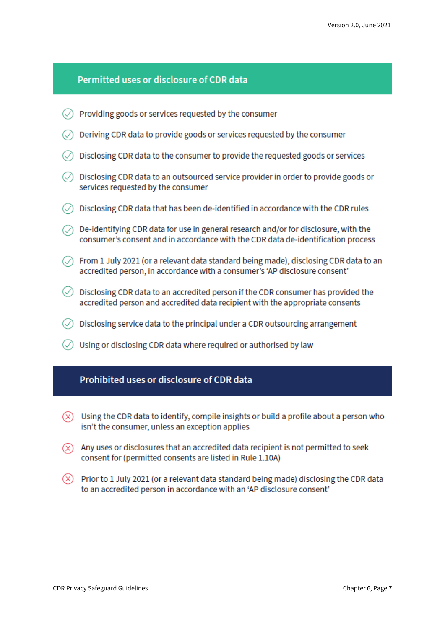#### Permitted uses or disclosure of CDR data

- $\oslash$  Providing goods or services requested by the consumer
- $\oslash$  Deriving CDR data to provide goods or services requested by the consumer .
- $\oslash$  Disclosing CDR data to the consumer to provide the requested goods or services
- $\oslash$  Disclosing CDR data to an outsourced service provider in order to provide goods or services requested by the consumer
- $\circledcirc$  Disclosing CDR data that has been de-identified in accordance with the CDR rules
- $\circledcirc$  De-identifying CDR data for use in general research and/or for disclosure, with the consumer's consent and in accordance with the CDR data de-identification process
- $\oslash$  From 1 July 2021 (or a relevant data standard being made), disclosing CDR data to an accredited person, in accordance with a consumer's 'AP disclosure consent'
- $\Diamond$  Disclosing CDR data to an accredited person if the CDR consumer has provided the accredited person and accredited data recipient with the appropriate consents
- $\circ$  Disclosing service data to the principal under a CDR outsourcing arrangement
- $\oslash$  Using or disclosing CDR data where required or authorised by law

#### Prohibited uses or disclosure of CDR data

- $(\overline{\times})$  Using the CDR data to identify, compile insights or build a profile about a person who isn't the consumer, unless an exception applies
- $(\widehat{\mathsf{x}})$  Any uses or disclosures that an accredited data recipient is not permitted to seek consent for (permitted consents are listed in Rule 1.10A)
- $(\times)$  Prior to 1 July 2021 (or a relevant data standard being made) disclosing the CDR data to an accredited person in accordance with an 'AP disclosure consent'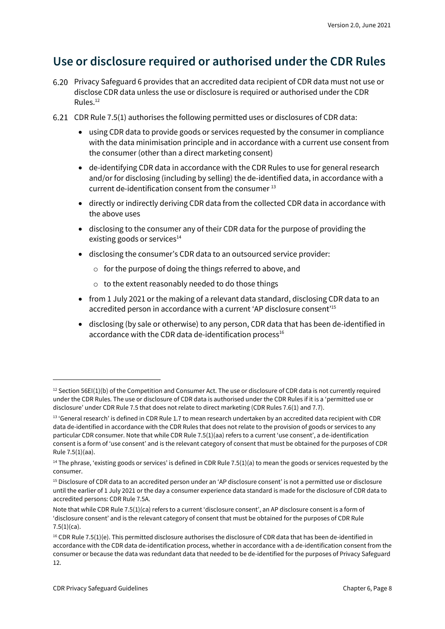### <span id="page-7-0"></span>**Use or disclosure required or authorised under the CDR Rules**

- Privacy Safeguard 6 provides that an accredited data recipient of CDR data must not use or disclose CDR data unless the use or disclosure is required or authorised under the CDR Rules.<sup>12</sup>
- CDR Rule 7.5(1) authorises the following permitted uses or disclosures of CDR data:
	- using CDR data to provide goods or services requested by the consumer in compliance with the data minimisation principle and in accordance with a current use consent from the consumer (other than a direct marketing consent)
	- de-identifying CDR data in accordance with the CDR Rules to use for general research and/or for disclosing (including by selling) the de-identified data, in accordance with a current de-identification consent from the consumer<sup>13</sup>
	- directly or indirectly deriving CDR data from the collected CDR data in accordance with the above uses
	- disclosing to the consumer any of their CDR data for the purpose of providing the existing goods or services $14$
	- disclosing the consumer's CDR data to an outsourced service provider:
		- o for the purpose of doing the things referred to above, and
		- o to the extent reasonably needed to do those things
	- from 1 July 2021 or the making of a relevant data standard, disclosing CDR data to an accredited person in accordance with a current 'AP disclosure consent' 15
	- disclosing (by sale or otherwise) to any person, CDR data that has been de-identified in accordance with the CDR data de-identification process $16$

 $12$  Section 56EI(1)(b) of the Competition and Consumer Act. The use or disclosure of CDR data is not currently required under the CDR Rules. The use or disclosure of CDR data is authorised under the CDR Rules if it is a 'permitted use or disclosure' under CDR Rule 7.5 that does not relate to direct marketing (CDR Rules 7.6(1) and 7.7).

<sup>13 &#</sup>x27;General research' is defined in CDR Rule 1.7 to mean research undertaken by an accredited data recipient with CDR data de-identified in accordance with the CDR Rules that does not relate to the provision of goods or services to any particular CDR consumer. Note that while CDR Rule 7.5(1)(aa) refers to a current 'use consent', a de-identification consent is a form of 'use consent' and is the relevant category of consent that must be obtained for the purposes of CDR Rule 7.5(1)(aa).

<sup>&</sup>lt;sup>14</sup> The phrase, 'existing goods or services' is defined in CDR Rule 7.5(1)(a) to mean the goods or services requested by the consumer.

<sup>15</sup> Disclosure of CDR data to an accredited person under an 'AP disclosure consent' is not a permitted use or disclosure until the earlier of 1 July 2021 or the day a consumer experience data standard is made for the disclosure of CDR data to accredited persons: CDR Rule 7.5A.

Note that while CDR Rule 7.5(1)(ca) refers to a current 'disclosure consent', an AP disclosure consent is a form of 'disclosure consent' and is the relevant category of consent that must be obtained for the purposes of CDR Rule  $7.5(1)(ca)$ .

 $16$  CDR Rule 7.5(1)(e). This permitted disclosure authorises the disclosure of CDR data that has been de-identified in accordance with the CDR data de-identification process, whether in accordance with a de-identification consent from the consumer or because the data was redundant data that needed to be de-identified for the purposes of Privacy Safeguard 12.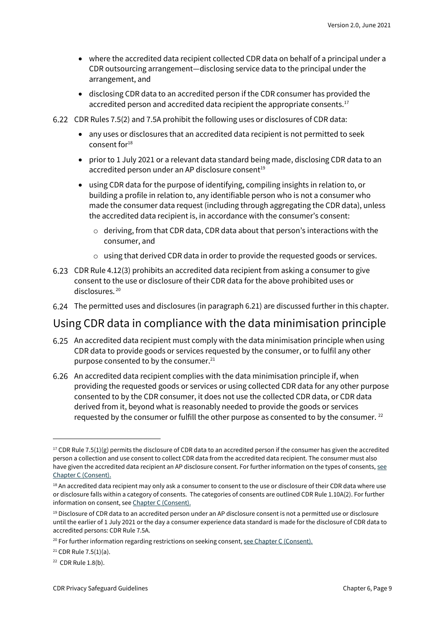- where the accredited data recipient collected CDR data on behalf of a principal under a CDR outsourcing arrangement—disclosing service data to the principal under the arrangement, and
- disclosing CDR data to an accredited person if the CDR consumer has provided the accredited person and accredited data recipient the appropriate consents.<sup>17</sup>
- CDR Rules 7.5(2) and 7.5A prohibit the following uses or disclosures of CDR data:
	- any uses or disclosures that an accredited data recipient is not permitted to seek consent for $18$
	- prior to 1 July 2021 or a relevant data standard being made, disclosing CDR data to an accredited person under an AP disclosure consent<sup>19</sup>
	- using CDR data for the purpose of identifying, compiling insights in relation to, or building a profile in relation to, any identifiable person who is not a consumer who made the consumer data request (including through aggregating the CDR data), unless the accredited data recipient is, in accordance with the consumer's consent:
		- $\circ$  deriving, from that CDR data, CDR data about that person's interactions with the consumer, and
		- $\circ$  using that derived CDR data in order to provide the requested goods or services.
- CDR Rule 4.12(3) prohibits an accredited data recipient from asking a consumer to give consent to the use or disclosure of their CDR data for the above prohibited uses or disclosures.<sup>20</sup>
- The permitted uses and disclosures (in paragraph 6.21) are discussed further in this chapter.

#### Using CDR data in compliance with the data minimisation principle

- An accredited data recipient must comply with the data minimisation principle when using CDR data to provide goods or services requested by the consumer, or to fulfil any other purpose consented to by the consumer.<sup>21</sup>
- An accredited data recipient complies with the data minimisation principle if, when providing the requested goods or services or using collected CDR data for any other purpose consented to by the CDR consumer, it does not use the collected CDR data, or CDR data derived from it, beyond what is reasonably needed to provide the goods or services requested by the consumer or fulfill the other purpose as consented to by the consumer.  $^{22}$

 $17$  CDR Rule 7.5(1)(g) permits the disclosure of CDR data to an accredited person if the consumer has given the accredited person a collection and use consent to collect CDR data from the accredited data recipient. The consumer must also have given the accredited data recipient an AP disclosure consent. For further information on the types of consents, see [Chapter C \(Consent\).](https://www.oaic.gov.au/consumer-data-right/cdr-privacy-safeguard-guidelines/chapter-c-consent-the-basis-for-collecting-and-using-cdr-data)

<sup>&</sup>lt;sup>18</sup> An accredited data recipient may only ask a consumer to consent to the use or disclosure of their CDR data where use or disclosure falls within a category of consents. The categories of consents are outlined CDR Rule 1.10A(2). For further information on consent, see [Chapter C \(Consent\).](https://www.oaic.gov.au/consumer-data-right/cdr-privacy-safeguard-guidelines/chapter-c-consent-the-basis-for-collecting-and-using-cdr-data/)

 $19$  Disclosure of CDR data to an accredited person under an AP disclosure consent is not a permitted use or disclosure until the earlier of 1 July 2021 or the day a consumer experience data standard is made for the disclosure of CDR data to accredited persons: CDR Rule 7.5A.

 $20$  For further information regarding restrictions on seeking consent[, see Chapter C \(Consent\).](https://www.oaic.gov.au/consumer-data-right/cdr-privacy-safeguard-guidelines/chapter-c-consent-the-basis-for-collecting-and-using-cdr-data)

 $21$  CDR Rule 7.5(1)(a).

<sup>22</sup> CDR Rule 1.8(b).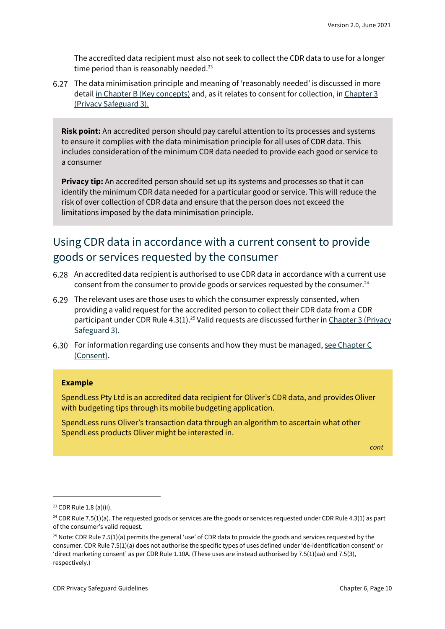The accredited data recipient must also not seek to collect the CDR data to use for a longer time period than is reasonably needed.<sup>23</sup>

The data minimisation principle and meaning of 'reasonably needed' is discussed in more detail [in Chapter B \(Key concepts\)](https://www.oaic.gov.au/consumer-data-right/cdr-privacy-safeguard-guidelines/chapter-b-key-concepts) and, as it relates to consent for collection, in Chapter 3 [\(Privacy Safeguard 3\).](https://www.oaic.gov.au/consumer-data-right/cdr-privacy-safeguard-guidelhttps:/www.oaic.gov.au/consumer-data-right/cdr-privacy-safeguard-guidelines/chapter-3-privacy-safeguard-3-seeking-to-collect-cdr-data-from-cdr-participants)

**Risk point:** An accredited person should pay careful attention to its processes and systems to ensure it complies with the data minimisation principle for all uses of CDR data. This includes consideration of the minimum CDR data needed to provide each good or service to a consumer

**Privacy tip:** An accredited person should set up its systems and processes so that it can identify the minimum CDR data needed for a particular good or service. This will reduce the risk of over collection of CDR data and ensure that the person does not exceed the limitations imposed by the data minimisation principle.

### Using CDR data in accordance with a current consent to provide goods or services requested by the consumer

- An accredited data recipient is authorised to use CDR data in accordance with a current use consent from the consumer to provide goods or services requested by the consumer.<sup>24</sup>
- The relevant uses are those uses to which the consumer expressly consented, when providing a valid request for the accredited person to collect their CDR data from a CDR participant under CDR Rule 4.3(1).<sup>25</sup> Valid requests are discussed further in Chapter 3 (Privacy [Safeguard 3\).](https://www.oaic.gov.au/consumer-data-right/cdr-privacy-safeguard-guidelines/chapter-3-privacy-safeguard-3-seeking-to-collect-cdr-data-from-cdr-participants)
- 6.30 For information regarding use consents and how they must be managed, see Chapter C [\(Consent\).](https://www.oaic.gov.au/consumer-data-right/cdr-privacy-safeguard-guidelines/chapter-c-consent-the-basis-for-collecting-and-using-cdr-data)

#### **Example**

SpendLess Pty Ltd is an accredited data recipient for Oliver's CDR data, and provides Oliver with budgeting tips through its mobile budgeting application.

SpendLess runs Oliver's transaction data through an algorithm to ascertain what other SpendLess products Oliver might be interested in.

*cont*

<sup>23</sup> CDR Rule 1.8 (a)(ii).

<sup>&</sup>lt;sup>24</sup> CDR Rule 7.5(1)(a). The requested goods or services are the goods or services requested under CDR Rule 4.3(1) as part of the consumer's valid request.

 $25$  Note: CDR Rule 7.5(1)(a) permits the general 'use' of CDR data to provide the goods and services requested by the consumer. CDR Rule 7.5(1)(a) does not authorise the specific types of uses defined under 'de-identification consent' or 'direct marketing consent' as per CDR Rule 1.10A. (These uses are instead authorised by 7.5(1)(aa) and 7.5(3), respectively.)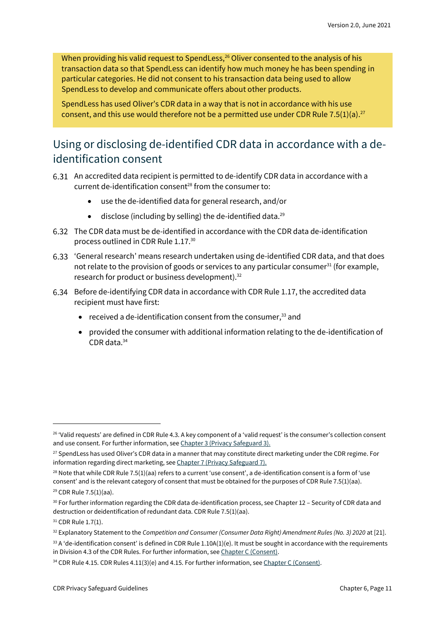When providing his valid request to SpendLess,<sup>26</sup> Oliver consented to the analysis of his transaction data so that SpendLess can identify how much money he has been spending in particular categories. He did not consent to his transaction data being used to allow SpendLess to develop and communicate offers about other products.

SpendLess has used Oliver's CDR data in a way that is not in accordance with his use consent, and this use would therefore not be a permitted use under CDR Rule 7.5(1)(a).<sup>27</sup>

### Using or disclosing de-identified CDR data in accordance with a deidentification consent

- An accredited data recipient is permitted to de-identify CDR data in accordance with a current de-identification consent<sup>28</sup> from the consumer to:
	- use the de-identified data for general research, and/or
	- disclose (including by selling) the de-identified data.<sup>29</sup>
- The CDR data must be de-identified in accordance with the CDR data de-identification process outlined in CDR Rule 1.17. 30
- 'General research' means research undertaken using de-identified CDR data, and that does not relate to the provision of goods or services to any particular consumer<sup>31</sup> (for example, research for product or business development).<sup>32</sup>
- Before de-identifying CDR data in accordance with CDR Rule 1.17, the accredited data recipient must have first:
	- received a de-identification consent from the consumer, $33$  and
	- provided the consumer with additional information relating to the de-identification of CDR data.<sup>34</sup>

<sup>26</sup> 'Valid requests' are defined in CDR Rule 4.3. A key component of a 'valid request' is the consumer's collection consent and use consent. For further information, see [Chapter 3 \(Privacy Safeguard 3\).](https://www.oaic.gov.au/consumer-data-right/cdr-privacy-safeguard-guidelines/chapter-3-privacy-safeguard-3-seeking-to-collect-cdr-data-from-cdr-participants/)

<sup>&</sup>lt;sup>27</sup> SpendLess has used Oliver's CDR data in a manner that may constitute direct marketing under the CDR regime. For information regarding direct marketing, see [Chapter 7 \(Privacy Safeguard 7\).](https://www.oaic.gov.au/consumer-data-right/cdr-privacy-safeguard-guidelines/chapter-3-https:/www.oaic.gov.au/consumer-data-right/cdr-privacy-safeguard-guidelines/chapter-7-privacy-safeguard-7-use-or-disclosure-of-cdr-data-for-direct-marketing-by-accredited-data-recipients-or-designated-gateways)

 $28$  Note that while CDR Rule 7.5(1)(aa) refers to a current 'use consent', a de-identification consent is a form of 'use consent' and is the relevant category of consent that must be obtained for the purposes of CDR Rule 7.5(1)(aa).

<sup>29</sup> CDR Rule 7.5(1)(aa).

<sup>30</sup> For further information regarding the CDR data de-identification process, see Chapter 12 – Security of CDR data and destruction or deidentification of redundant data. CDR Rule 7.5(1)(aa).

<sup>&</sup>lt;sup>31</sup> CDR Rule 1.7(1).

<sup>32</sup> Explanatory Statement to the *Competition and Consumer (Consumer Data Right) Amendment Rules (No. 3) 2020* at [21].

 $33$  A 'de-identification consent' is defined in CDR Rule 1.10A(1)(e). It must be sought in accordance with the requirements in Division 4.3 of the CDR Rules. For further information, see [Chapter C \(Consent\).](https://www.oaic.gov.au/consumer-data-right/cdr-privacy-safeguard-guidelines/chapter-c-consent-the-basis-for-collecting-and-using-cdr-data/) 

<sup>&</sup>lt;sup>34</sup> CDR Rule 4.15. CDR Rules 4.11(3)(e) and 4.15. For further information, se[e Chapter C \(Consent\).](https://www.oaic.gov.au/consumer-data-right/cdr-privacy-safeguard-guidelines/chapter-c-consent-the-basis-for-collecting-and-using-cdr-data/)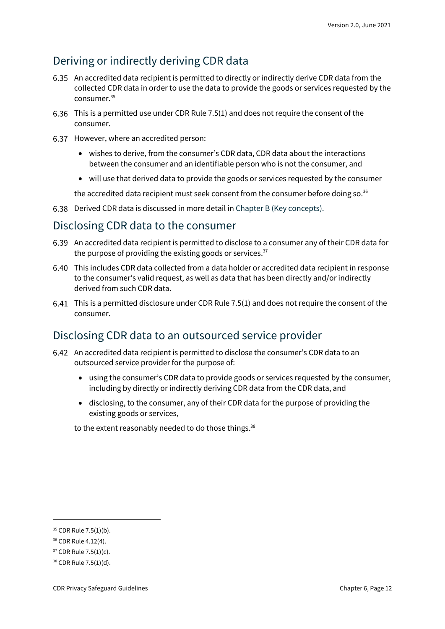#### Deriving or indirectly deriving CDR data

- An accredited data recipient is permitted to directly or indirectly derive CDR data from the collected CDR data in order to use the data to provide the goods or services requested by the consumer.<sup>35</sup>
- This is a permitted use under CDR Rule 7.5(1) and does not require the consent of the consumer.
- 6.37 However, where an accredited person:
	- wishes to derive, from the consumer's CDR data, CDR data about the interactions between the consumer and an identifiable person who is not the consumer, and
	- will use that derived data to provide the goods or services requested by the consumer

the accredited data recipient must seek consent from the consumer before doing so.<sup>36</sup>

6.38 Derived CDR data is discussed in more detail i[n Chapter B \(Key concepts\).](https://www.oaic.gov.au/consumer-data-right/cdr-privacy-safeguard-guidelines/chapter-b-key-concepts)

#### Disclosing CDR data to the consumer

- An accredited data recipient is permitted to disclose to a consumer any of their CDR data for the purpose of providing the existing goods or services.<sup>37</sup>
- This includes CDR data collected from a data holder or accredited data recipient in response to the consumer's valid request, as well as data that has been directly and/or indirectly derived from such CDR data.
- This is a permitted disclosure under CDR Rule 7.5(1) and does not require the consent of the consumer.

#### Disclosing CDR data to an outsourced service provider

- An accredited data recipient is permitted to disclose the consumer's CDR data to an outsourced service provider for the purpose of:
	- using the consumer's CDR data to provide goods or services requested by the consumer, including by directly or indirectly deriving CDR data from the CDR data, and
	- disclosing, to the consumer, any of their CDR data for the purpose of providing the existing goods or services,

to the extent reasonably needed to do those things.<sup>38</sup>

<sup>35</sup> CDR Rule 7.5(1)(b).

<sup>36</sup> CDR Rule 4.12(4).

<sup>37</sup> CDR Rule 7.5(1)(c).

<sup>38</sup> CDR Rule 7.5(1)(d).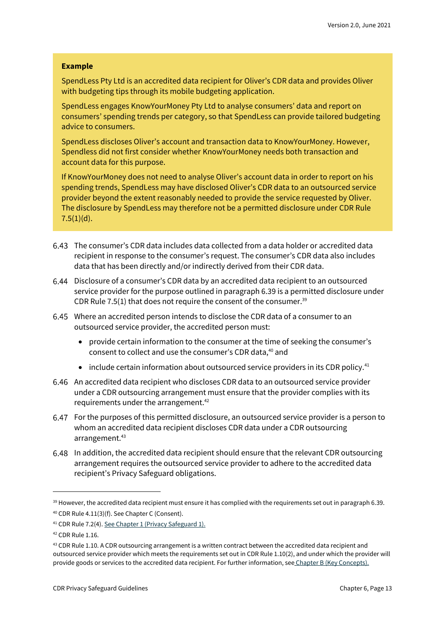#### **Example**

SpendLess Pty Ltd is an accredited data recipient for Oliver's CDR data and provides Oliver with budgeting tips through its mobile budgeting application.

SpendLess engages KnowYourMoney Pty Ltd to analyse consumers' data and report on consumers' spending trends per category, so that SpendLess can provide tailored budgeting advice to consumers.

SpendLess discloses Oliver's account and transaction data to KnowYourMoney. However, Spendless did not first consider whether KnowYourMoney needs both transaction and account data for this purpose.

If KnowYourMoney does not need to analyse Oliver's account data in order to report on his spending trends, SpendLess may have disclosed Oliver's CDR data to an outsourced service provider beyond the extent reasonably needed to provide the service requested by Oliver. The disclosure by SpendLess may therefore not be a permitted disclosure under CDR Rule  $7.5(1)(d)$ .

- The consumer's CDR data includes data collected from a data holder or accredited data recipient in response to the consumer's request. The consumer's CDR data also includes data that has been directly and/or indirectly derived from their CDR data.
- Disclosure of a consumer's CDR data by an accredited data recipient to an outsourced service provider for the purpose outlined in paragraph 6.39 is a permitted disclosure under CDR Rule 7.5(1) that does not require the consent of the consumer. $39$
- Where an accredited person intends to disclose the CDR data of a consumer to an outsourced service provider, the accredited person must:
	- provide certain information to the consumer at the time of seeking the consumer's consent to collect and use the consumer's CDR data, <sup>40</sup> and
	- include certain information about outsourced service providers in its CDR policy.<sup>41</sup>
- An accredited data recipient who discloses CDR data to an outsourced service provider under a CDR outsourcing arrangement must ensure that the provider complies with its requirements under the arrangement.<sup>42</sup>
- For the purposes of this permitted disclosure, an outsourced service provider is a person to whom an accredited data recipient discloses CDR data under a CDR outsourcing arrangement.<sup>43</sup>
- In addition, the accredited data recipient should ensure that the relevant CDR outsourcing arrangement requires the outsourced service provider to adhere to the accredited data recipient's Privacy Safeguard obligations.

 $39$  However, the accredited data recipient must ensure it has complied with the requirements set out in paragraph 6.39.

<sup>40</sup> CDR Rule 4.11(3)(f). See Chapter C (Consent).

<sup>41</sup> CDR Rule 7.2(4)[. See Chapter 1 \(Privacy Safeguard 1\).](https://www.oaic.gov.au/consumer-data-right/cdr-privacy-safeguard-guidelines/chapter-1-privacy-safeguard-1-open-and-transparent-management-of-cdr-data)

<sup>42</sup> CDR Rule 1.16.

<sup>&</sup>lt;sup>43</sup> CDR Rule 1.10. A CDR outsourcing arrangement is a written contract between the accredited data recipient and outsourced service provider which meets the requirements set out in CDR Rule 1.10(2), and under which the provider will provide goods or services to the accredited data recipient. For further information, see [Chapter B \(Key Concepts\).](https://www.oaic.gov.au/consumer-data-right/cdr-privacy-safeguard-guidelines/chapter-b-key-concepts)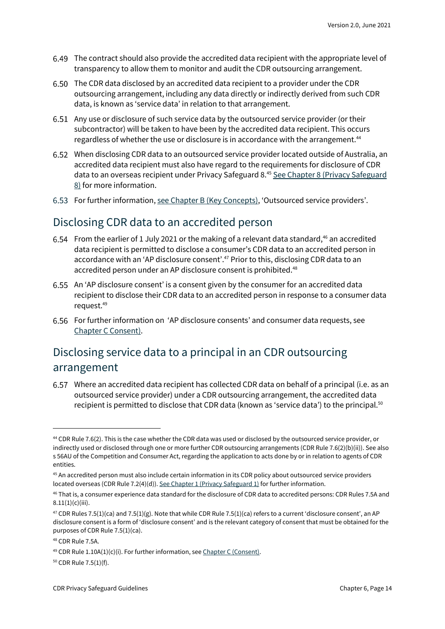- The contract should also provide the accredited data recipient with the appropriate level of transparency to allow them to monitor and audit the CDR outsourcing arrangement.
- The CDR data disclosed by an accredited data recipient to a provider under the CDR outsourcing arrangement, including any data directly or indirectly derived from such CDR data, is known as 'service data' in relation to that arrangement.
- Any use or disclosure of such service data by the outsourced service provider (or their subcontractor) will be taken to have been by the accredited data recipient. This occurs regardless of whether the use or disclosure is in accordance with the arrangement.<sup>44</sup>
- When disclosing CDR data to an outsourced service provider located outside of Australia, an accredited data recipient must also have regard to the requirements for disclosure of CDR data to an overseas recipient under Privacy Safeguard 8.45 See Chapter 8 (Privacy Safeguard [8\)](https://www.oaic.gov.au/consumer-data-right/cdr-privacy-safeguard-guidelines/chapter-8-privacy-safeguard-8-overseas-disclosure-of-cdr-data-by-accredited-data-recipients) for more information.
- For further information[, see Chapter B \(Key Concepts\),](https://www.oaic.gov.au/consumer-data-right/cdr-privacy-safeguard-guidelines/chapter-b-key-concepts) 'Outsourced service providers'.

#### Disclosing CDR data to an accredited person

- 6.54 From the earlier of 1 July 2021 or the making of a relevant data standard,<sup>46</sup> an accredited data recipient is permitted to disclose a consumer's CDR data to an accredited person in accordance with an 'AP disclosure consent'.<sup>47</sup> Prior to this, disclosing CDR data to an accredited person under an AP disclosure consent is prohibited.<sup>48</sup>
- An 'AP disclosure consent' is a consent given by the consumer for an accredited data recipient to disclose their CDR data to an accredited person in response to a consumer data request.<sup>49</sup>
- For further information on 'AP disclosure consents' and consumer data requests, see [Chapter C Consent\).](https://www.oaic.gov.au/consumer-data-right/cdr-privacy-safeguard-guidelines/chapter-c-consent-the-basis-for-collecting-and-using-cdr-data/)

#### Disclosing service data to a principal in an CDR outsourcing arrangement

Where an accredited data recipient has collected CDR data on behalf of a principal (i.e. as an outsourced service provider) under a CDR outsourcing arrangement, the accredited data recipient is permitted to disclose that CDR data (known as 'service data') to the principal.<sup>50</sup>

<sup>50</sup> CDR Rule 7.5(1)(f).

<sup>44</sup> CDR Rule 7.6(2). This is the case whether the CDR data was used or disclosed by the outsourced service provider, or indirectly used or disclosed through one or more further CDR outsourcing arrangements (CDR Rule 7.6(2)(b)(ii)). See also s 56AU of the Competition and Consumer Act, regarding the application to acts done by or in relation to agents of CDR entities.

<sup>45</sup> An accredited person must also include certain information in its CDR policy about outsourced service providers located overseas (CDR Rule 7.2(4)(d))[. See Chapter 1 \(Privacy Safeguard 1\)](https://www.oaic.gov.au/consumer-data-right/cdr-privacy-safeguard-guidelines/chapter-1-privacy-safeguard-1-open-and-transparent-management-of-cdr-data) for further information.

<sup>46</sup> That is, a consumer experience data standard for the disclosure of CDR data to accredited persons: CDR Rules 7.5A and  $8.11(1)(c)(iii)$ .

 $47$  CDR Rules 7.5(1)(ca) and 7.5(1)(g). Note that while CDR Rule 7.5(1)(ca) refers to a current 'disclosure consent', an AP disclosure consent is a form of 'disclosure consent' and is the relevant category of consent that must be obtained for the purposes of CDR Rule 7.5(1)(ca).

<sup>48</sup> CDR Rule 7.5A.

<sup>&</sup>lt;sup>49</sup> CDR Rule  $1.10A(1)(c)(i)$ . For further information, se[e Chapter C \(Consent\).](https://www.oaic.gov.au/consumer-data-right/cdr-privacy-safeguard-guidelines/chapter-c-consent-the-basis-for-collecting-and-using-cdr-data/)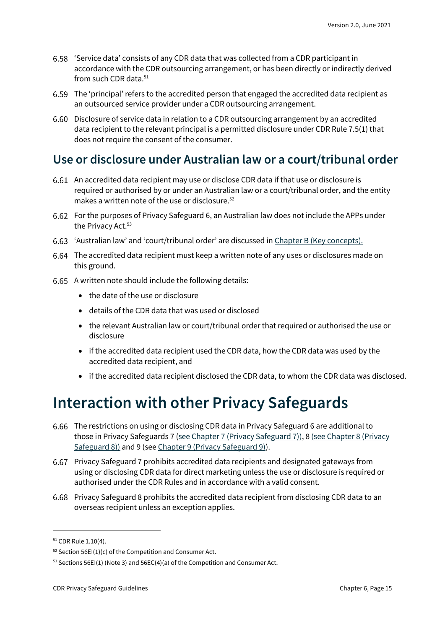- 'Service data' consists of any CDR data that was collected from a CDR participant in accordance with the CDR outsourcing arrangement, or has been directly or indirectly derived from such CDR data.<sup>51</sup>
- The 'principal' refers to the accredited person that engaged the accredited data recipient as an outsourced service provider under a CDR outsourcing arrangement.
- Disclosure of service data in relation to a CDR outsourcing arrangement by an accredited data recipient to the relevant principal is a permitted disclosure under CDR Rule 7.5(1) that does not require the consent of the consumer.

#### <span id="page-14-0"></span>**Use or disclosure under Australian law or a court/tribunal order**

- An accredited data recipient may use or disclose CDR data if that use or disclosure is required or authorised by or under an Australian law or a court/tribunal order, and the entity makes a written note of the use or disclosure.<sup>52</sup>
- For the purposes of Privacy Safeguard 6, an Australian law does not include the APPs under the Privacy Act.<sup>53</sup>
- 'Australian law' and 'court/tribunal order' are discussed in [Chapter B \(Key concepts\).](https://www.oaic.gov.au/consumer-data-right/cdr-privacy-safeguard-guidelines/chapter-b-key-concepts)
- The accredited data recipient must keep a written note of any uses or disclosures made on this ground.
- 6.65 A written note should include the following details:
	- the date of the use or disclosure
	- details of the CDR data that was used or disclosed
	- the relevant Australian law or court/tribunal order that required or authorised the use or disclosure
	- if the accredited data recipient used the CDR data, how the CDR data was used by the accredited data recipient, and
	- if the accredited data recipient disclosed the CDR data, to whom the CDR data was disclosed.

### <span id="page-14-1"></span>**Interaction with other Privacy Safeguards**

- The restrictions on using or disclosing CDR data in Privacy Safeguard 6 are additional to those in Privacy Safeguards 7 [\(see Chapter 7 \(Privacy Safeguard 7\)\),](https://www.oaic.gov.au/consumer-data-right/cdr-privacy-safeguard-guidelines/chapter-7-privacy-safeguard-7-use-or-disclosure-of-cdr-data-for-direct-marketing-by-accredited-data-recipients-or-designated-gateways) 8 (see Chapter 8 (Privacy [Safeguard 8\)\)](https://www.oaic.gov.au/consumer-data-right/cdr-privacy-safeguard-guidelines/chapter-8-privacy-safeguard-8-overseas-disclosure-of-cdr-data-by-accredited-data-recipients) and 9 (se[e Chapter 9 \(Privacy Safeguard 9\)\)](https://www.oaic.gov.au/consumer-data-right/cdr-privacy-safeguard-guidelines/chapter-9-privacy-safeguard-9-adoption-or-disclosure-of-government-related-identifiers-by-accredited-data-recipients/).
- Privacy Safeguard 7 prohibits accredited data recipients and designated gateways from using or disclosing CDR data for direct marketing unless the use or disclosure is required or authorised under the CDR Rules and in accordance with a valid consent.
- Privacy Safeguard 8 prohibits the accredited data recipient from disclosing CDR data to an overseas recipient unless an exception applies.

<sup>51</sup> CDR Rule 1.10(4).

 $52$  Section 56EI(1)(c) of the Competition and Consumer Act.

<sup>53</sup> Sections 56EI(1) (Note 3) and 56EC(4)(a) of the Competition and Consumer Act.